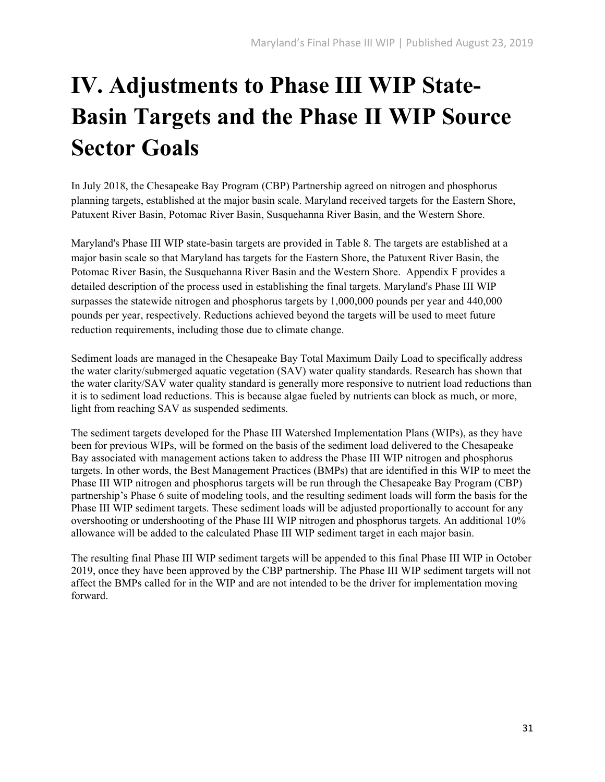## **IV. Adjustments to Phase III WIP State-Basin Targets and the Phase II WIP Source Sector Goals**

In July 2018, the Chesapeake Bay Program (CBP) Partnership agreed on nitrogen and phosphorus planning targets, established at the major basin scale. Maryland received targets for the Eastern Shore, Patuxent River Basin, Potomac River Basin, Susquehanna River Basin, and the Western Shore.

Maryland's Phase III WIP state-basin targets are provided in Table 8. The targets are established at a major basin scale so that Maryland has targets for the Eastern Shore, the Patuxent River Basin, the Potomac River Basin, the Susquehanna River Basin and the Western Shore. Appendix F provides a detailed description of the process used in establishing the final targets. Maryland's Phase III WIP surpasses the statewide nitrogen and phosphorus targets by 1,000,000 pounds per year and 440,000 pounds per year, respectively. Reductions achieved beyond the targets will be used to meet future reduction requirements, including those due to climate change.

Sediment loads are managed in the Chesapeake Bay Total Maximum Daily Load to specifically address the water clarity/submerged aquatic vegetation (SAV) water quality standards. Research has shown that the water clarity/SAV water quality standard is generally more responsive to nutrient load reductions than it is to sediment load reductions. This is because algae fueled by nutrients can block as much, or more, light from reaching SAV as suspended sediments.

The sediment targets developed for the Phase III Watershed Implementation Plans (WIPs), as they have been for previous WIPs, will be formed on the basis of the sediment load delivered to the Chesapeake Bay associated with management actions taken to address the Phase III WIP nitrogen and phosphorus targets. In other words, the Best Management Practices (BMPs) that are identified in this WIP to meet the Phase III WIP nitrogen and phosphorus targets will be run through the Chesapeake Bay Program (CBP) partnership's Phase 6 suite of modeling tools, and the resulting sediment loads will form the basis for the Phase III WIP sediment targets. These sediment loads will be adjusted proportionally to account for any overshooting or undershooting of the Phase III WIP nitrogen and phosphorus targets. An additional 10% allowance will be added to the calculated Phase III WIP sediment target in each major basin.

The resulting final Phase III WIP sediment targets will be appended to this final Phase III WIP in October 2019, once they have been approved by the CBP partnership. The Phase III WIP sediment targets will not affect the BMPs called for in the WIP and are not intended to be the driver for implementation moving forward.